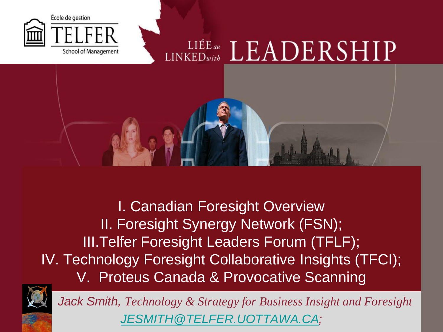

I. Canadian Foresight Overview II. Foresight Synergy Network (FSN); III.Telfer Foresight Leaders Forum (TFLF); IV. Technology Foresight Collaborative Insights (TFCI); V. Proteus Canada & Provocative Scanning



*Jack Smith, Technology & Strategy for Business Insight and Foresight [JESMITH@TELFER.UOTTAWA.CA](mailto:JESMITH@TELFER.UOTTAWA.CA);*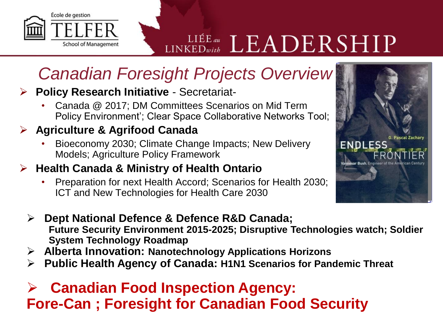

## *Canadian Foresight Projects Overview*

### **Policy Research Initiative** - Secretariat-

• Canada @ 2017; DM Committees Scenarios on Mid Term Policy Environment'; Clear Space Collaborative Networks Tool;

### **Agriculture & Agrifood Canada**

• Bioeconomy 2030; Climate Change Impacts; New Delivery Models; Agriculture Policy Framework

#### **Health Canada & Ministry of Health Ontario**

• Preparation for next Health Accord; Scenarios for Health 2030; ICT and New Technologies for Health Care 2030



- **Alberta Innovation: Nanotechnology Applications Horizons**
- **Public Health Agency of Canada: H1N1 Scenarios for Pandemic Threat**

### **Canadian Food Inspection Agency: Fore-Can ; Foresight for Canadian Food Security**

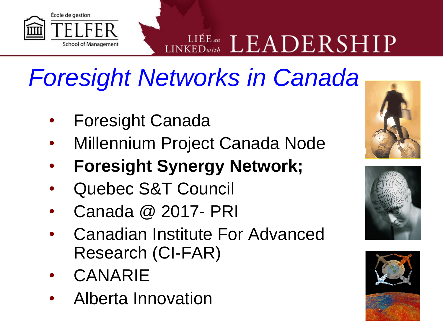

# *Foresight Networks in Canada*

- Foresight Canada
- Millennium Project Canada Node
- **Foresight Synergy Network;**
- Quebec S&T Council
- Canada @ 2017- PRI
- Canadian Institute For Advanced Research (CI-FAR)
- **CANARIE**
- Alberta Innovation





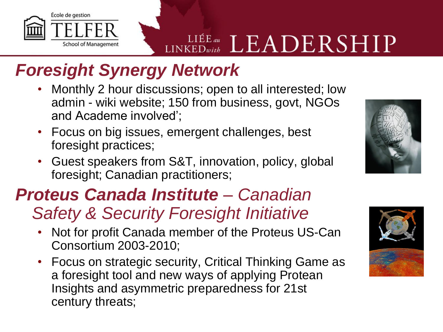

## *Foresight Synergy Network*

- Monthly 2 hour discussions; open to all interested; low admin - wiki website; 150 from business, govt, NGOs and Academe involved';
- Focus on big issues, emergent challenges, best foresight practices;
- Guest speakers from S&T, innovation, policy, global foresight; Canadian practitioners;

## *Proteus Canada Institute – Canadian*

## *Safety & Security Foresight Initiative*

- Not for profit Canada member of the Proteus US-Can Consortium 2003-2010;
- Focus on strategic security, Critical Thinking Game as a foresight tool and new ways of applying Protean Insights and asymmetric preparedness for 21st century threats;



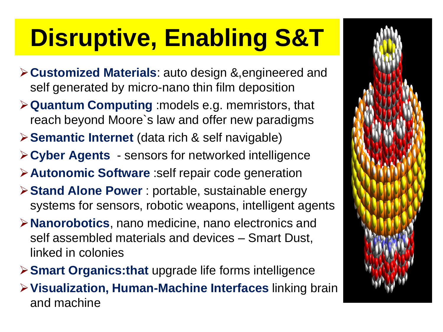# **Disruptive, Enabling S&T**

- **Customized Materials**: auto design &,engineered and self generated by micro-nano thin film deposition
- **Quantum Computing** :models e.g. memristors, that reach beyond Moore`s law and offer new paradigms
- **Semantic Internet** (data rich & self navigable)
- **Cyber Agents**  sensors for networked intelligence
- **Autonomic Software** :self repair code generation
- **Stand Alone Power** : portable, sustainable energy systems for sensors, robotic weapons, intelligent agents
- **Nanorobotics**, nano medicine, nano electronics and self assembled materials and devices – Smart Dust, linked in colonies
- **Smart Organics:that** upgrade life forms intelligence
- **Visualization, Human-Machine Interfaces** linking brain and machine

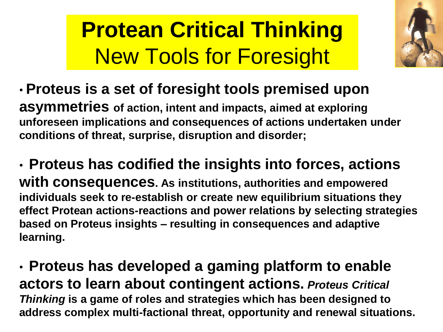# **Protean Critical Thinking** New Tools for Foresight



• **Proteus is a set of foresight tools premised upon asymmetries of action, intent and impacts, aimed at exploring unforeseen implications and consequences of actions undertaken under conditions of threat, surprise, disruption and disorder;**

• **Proteus has codified the insights into forces, actions with consequences. As institutions, authorities and empowered individuals seek to re-establish or create new equilibrium situations they effect Protean actions-reactions and power relations by selecting strategies based on Proteus insights – resulting in consequences and adaptive learning.**

• **Proteus has developed a gaming platform to enable actors to learn about contingent actions.** *Proteus Critical Thinking* **is a game of roles and strategies which has been designed to address complex multi-factional threat, opportunity and renewal situations.**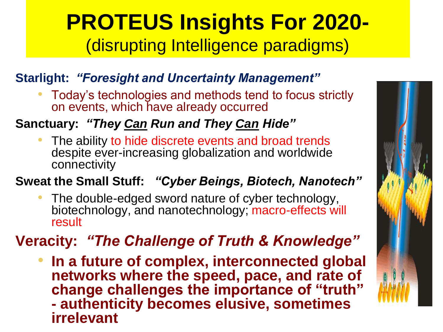## **PROTEUS Insights For 2020-** (disrupting Intelligence paradigms)

### **Starlight:** *"Foresight and Uncertainty Management"*

• Today's technologies and methods tend to focus strictly on events, which have already occurred

### **Sanctuary:** *"They Can Run and They Can Hide"*

The ability to hide discrete events and broad trends despite ever-increasing globalization and worldwide connectivity

**Sweat the Small Stuff:** *"Cyber Beings, Biotech, Nanotech"*

The double-edged sword nature of cyber technology, biotechnology, and nanotechnology; macro-effects will result

## **Veracity:** *"The Challenge of Truth & Knowledge"*

• **In a future of complex, interconnected global networks where the speed, pace, and rate of change challenges the importance of "truth" - authenticity becomes elusive, sometimes irrelevant**

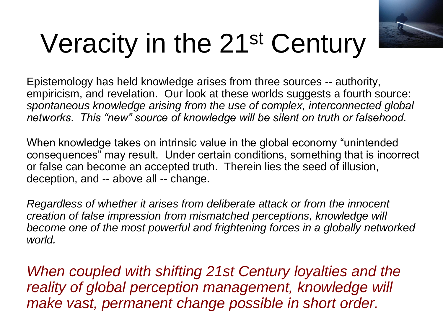

# Veracity in the 21st Century

Epistemology has held knowledge arises from three sources -- authority, empiricism, and revelation. Our look at these worlds suggests a fourth source: *spontaneous knowledge arising from the use of complex, interconnected global networks. This "new" source of knowledge will be silent on truth or falsehood.* 

When knowledge takes on intrinsic value in the global economy "unintended consequences" may result. Under certain conditions, something that is incorrect or false can become an accepted truth. Therein lies the seed of illusion, deception, and -- above all -- change.

*Regardless of whether it arises from deliberate attack or from the innocent creation of false impression from mismatched perceptions, knowledge will become one of the most powerful and frightening forces in a globally networked world.* 

*When coupled with shifting 21st Century loyalties and the reality of global perception management, knowledge will make vast, permanent change possible in short order.*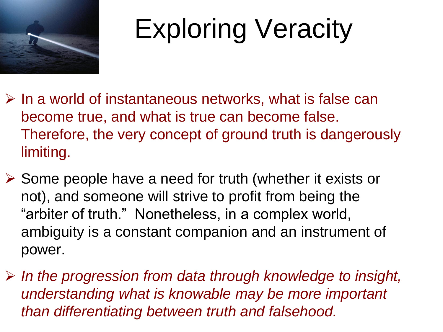

# Exploring Veracity

- $\triangleright$  In a world of instantaneous networks, what is false can become true, and what is true can become false. Therefore, the very concept of ground truth is dangerously limiting.
- $\triangleright$  Some people have a need for truth (whether it exists or not), and someone will strive to profit from being the "arbiter of truth." Nonetheless, in a complex world, ambiguity is a constant companion and an instrument of power.
- *In the progression from data through knowledge to insight, understanding what is knowable may be more important than differentiating between truth and falsehood.*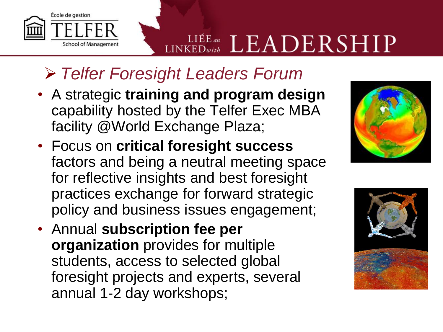## *Telfer Foresight Leaders Forum*

École de gestion

**School of Management** 

- A strategic **training and program design**  capability hosted by the Telfer Exec MBA facility @World Exchange Plaza;
- Focus on **critical foresight success**  factors and being a neutral meeting space for reflective insights and best foresight practices exchange for forward strategic policy and business issues engagement;
- Annual **subscription fee per organization** provides for multiple students, access to selected global foresight projects and experts, several annual 1-2 day workshops;



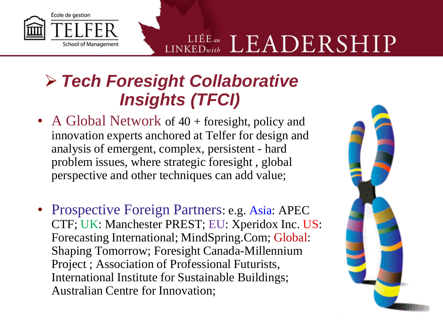

## *Tech Foresight Collaborative Insights (TFCI)*

- A Global Network of 40 + foresight, policy and innovation experts anchored at Telfer for design and analysis of emergent, complex, persistent - hard problem issues, where strategic foresight , global perspective and other techniques can add value;
- Prospective Foreign Partners: e.g. Asia: APEC CTF; UK: Manchester PREST; EU: Xperidox Inc. US: Forecasting International; MindSpring.Com; Global: Shaping Tomorrow; Foresight Canada-Millennium Project ; Association of Professional Futurists, International Institute for Sustainable Buildings; Australian Centre for Innovation;

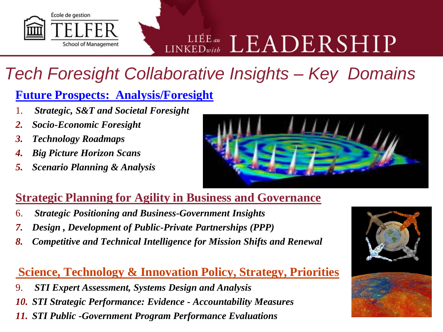

## *Tech Foresight Collaborative Insights – Key Domains*

### **Future Prospects: Analysis/Foresight**

- 1. *Strategic, S&T and Societal Foresight*
- *2. Socio-Economic Foresight*
- *3. Technology Roadmaps*
- *4. Big Picture Horizon Scans*
- *5. Scenario Planning & Analysis*



### **Strategic Planning for Agility in Business and Governance**

- 6. *Strategic Positioning and Business-Government Insights*
- *7. Design , Development of Public-Private Partnerships (PPP)*
- *8. Competitive and Technical Intelligence for Mission Shifts and Renewal*

#### **Science, Technology & Innovation Policy, Strategy, Priorities**

- 9. *STI Expert Assessment, Systems Design and Analysis*
- *10. STI Strategic Performance: Evidence - Accountability Measures*
- *11. STI Public -Government Program Performance Evaluations*

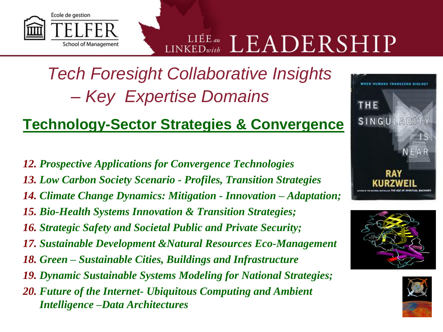*Tech Foresight Collaborative Insights – Key Expertise Domains*

### **Technology-Sector Strategies & Convergence**

*12. Prospective Applications for Convergence Technologies* 

École de gestion

**School of Management** 

- *13. Low Carbon Society Scenario - Profiles, Transition Strategies*
- *14. Climate Change Dynamics: Mitigation - Innovation – Adaptation;*
- *15. Bio-Health Systems Innovation & Transition Strategies;*
- *16. Strategic Safety and Societal Public and Private Security;*
- *17. Sustainable Development &Natural Resources Eco-Management*
- *18. Green – Sustainable Cities, Buildings and Infrastructure*
- *19. Dynamic Sustainable Systems Modeling for National Strategies;*
- *20. Future of the Internet- Ubiquitous Computing and Ambient Intelligence –Data Architectures*





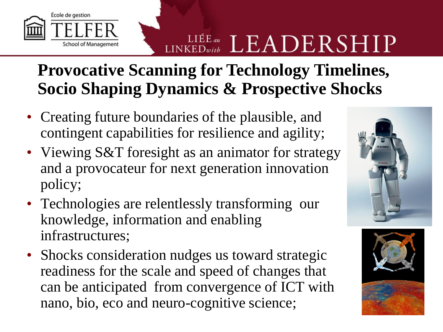## **Provocative Scanning for Technology Timelines, Socio Shaping Dynamics & Prospective Shocks**

• Creating future boundaries of the plausible, and contingent capabilities for resilience and agility;

École de gestion

**School of Management** 

- Viewing S&T foresight as an animator for strategy and a provocateur for next generation innovation policy;
- Technologies are relentlessly transforming our knowledge, information and enabling infrastructures;
- Shocks consideration nudges us toward strategic readiness for the scale and speed of changes that can be anticipated from convergence of ICT with nano, bio, eco and neuro-cognitive science;